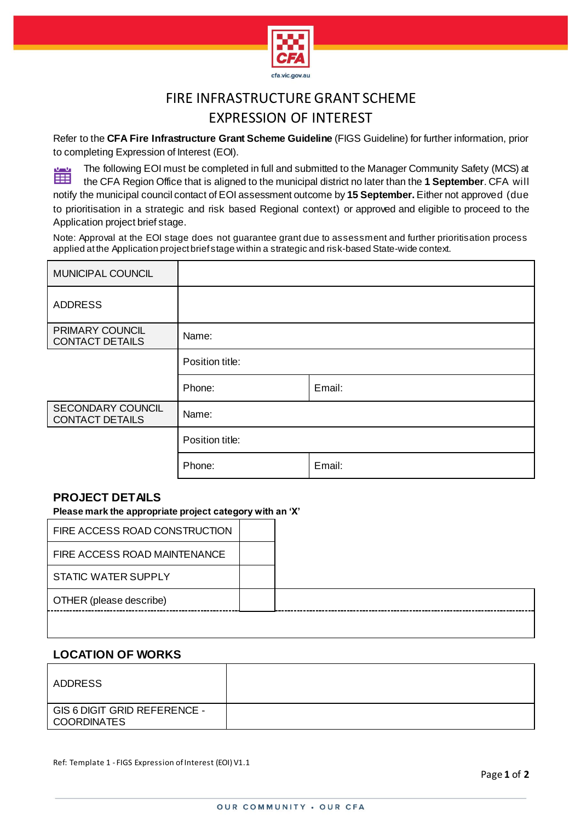

# FIRE INFRASTRUCTURE GRANT SCHEME EXPRESSION OF INTEREST

Refer to the **CFA Fire Infrastructure Grant Scheme Guideline** (FIGS Guideline) for further information, prior to completing Expression of Interest (EOI).

The following EOI must be completed in full and submitted to the Manager Community Safety (MCS) at 圖 the CFA Region Office that is aligned to the municipal district no later than the **1 September**. CFA will notify the municipal council contact of EOI assessment outcome by **15 September.** Either not approved (due to prioritisation in a strategic and risk based Regional context) or approved and eligible to proceed to the

Application project brief stage. Note: Approval at the EOI stage does not guarantee grant due to assessment and further prioritisation process applied at the Application project brief stage within a strategic and risk-based State-wide context.

| MUNICIPAL COUNCIL                           |                 |        |
|---------------------------------------------|-----------------|--------|
| <b>ADDRESS</b>                              |                 |        |
| PRIMARY COUNCIL<br><b>CONTACT DETAILS</b>   | Name:           |        |
|                                             | Position title: |        |
|                                             | Phone:          | Email: |
| SECONDARY COUNCIL<br><b>CONTACT DETAILS</b> | Name:           |        |
|                                             | Position title: |        |
|                                             | Phone:          | Email: |

## **PROJECT DETAILS**

**Please mark the appropriate project category with an 'X'**

| FIRE ACCESS ROAD CONSTRUCTION |  |
|-------------------------------|--|
| FIRE ACCESS ROAD MAINTENANCE  |  |
| STATIC WATER SUPPLY           |  |
| OTHER (please describe)       |  |
|                               |  |

### **LOCATION OF WORKS**

| ADDRESS                                            |  |
|----------------------------------------------------|--|
| GIS 6 DIGIT GRID REFERENCE -<br><b>COORDINATES</b> |  |